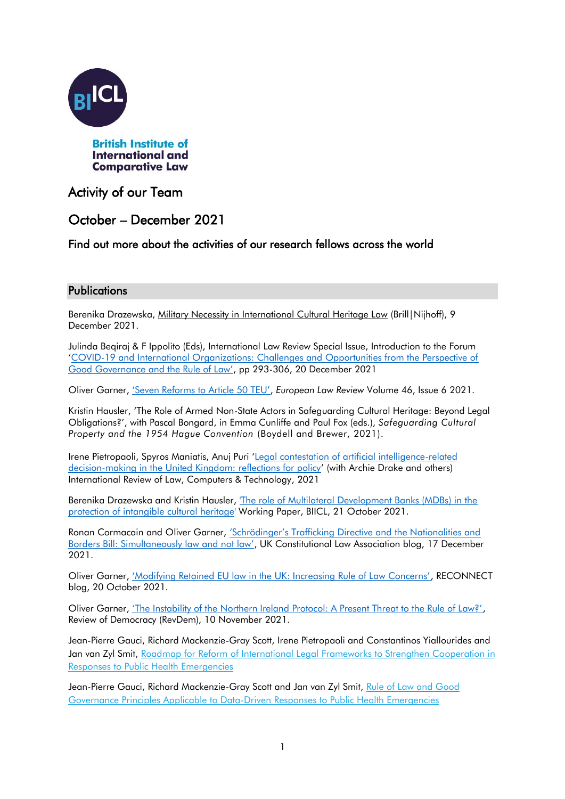

# Activity of our Team

# October – December 2021

## Find out more about the activities of our research fellows across the world

### **Publications**

Berenika Drazewska, [Military Necessity in International Cultural Heritage Law](https://brill.com/view/title/57632?language=en) (Brill|Nijhoff), 9 December 2021.

Julinda Beqiraj & F Ippolito (Eds), International Law Review Special Issue, Introduction to the Forum '[COVID-19 and International Organizations: Challenges and Opportunities from the Perspective of](https://brill.com/view/journals/iolr/18/3/iolr.18.issue-3.xml)  [Good Governance and the Rule of Law'](https://brill.com/view/journals/iolr/18/3/iolr.18.issue-3.xml), pp 293-306, 20 December 2021

Oliver Garner, ['Seven Reforms to Article 50 TEU'](https://www.sweetandmaxwell.co.uk/catalogue/eDownloadDoc.aspx?filename=501_2021342_2312.pdf&sapmaterialnum=30820515&fileserver=EPIC&productid=501), *European Law Review* Volume 46, Issue 6 2021.

Kristin Hausler, 'The Role of Armed Non-State Actors in Safeguarding Cultural Heritage: Beyond Legal Obligations?', with Pascal Bongard, in Emma Cunliffe and Paul Fox (eds.), *Safeguarding Cultural Property and the 1954 Hague Convention* (Boydell and Brewer, 2021).

Irene Pietropaoli, Spyros Maniatis, Anuj Puri '[Legal contestation of artificial intelligence-related](https://www.tandfonline.com/doi/full/10.1080/13600869.2021.1999075)  [decision-making in the United Kingdom: reflections for policy](https://www.tandfonline.com/doi/full/10.1080/13600869.2021.1999075)' (with Archie Drake and others) International Review of Law, Computers & Technology, 2021

Berenika Drazewska and Kristin Hausler, ['The role of Multilateral Development Banks \(MDBs\) in the](https://www.biicl.org/publications/the-role-of-multilateral-development-banks-in-the-protection-of-intangible-cultural-heritage)  [protection of intangible](https://www.biicl.org/publications/the-role-of-multilateral-development-banks-in-the-protection-of-intangible-cultural-heritage) cultural heritage' Working Paper, BIICL, 21 October 2021.

Ronan Cormacain and Oliver Garner, ['Schrödinger's Trafficking Directive and the Nationalities and](https://ukconstitutionallaw.org/2021/12/17/ronan-cormacain-and-oliver-garner-schrodingers-trafficking-directive-and-the-nationalities-and-borders-bill-simultaneously-law-and-not-law-%EF%BF%BC/)  [Borders Bill: Simultaneously law and not law'](https://ukconstitutionallaw.org/2021/12/17/ronan-cormacain-and-oliver-garner-schrodingers-trafficking-directive-and-the-nationalities-and-borders-bill-simultaneously-law-and-not-law-%EF%BF%BC/), UK Constitutional Law Association blog, 17 December 2021.

Oliver Garner, ['Modifying Retained EU law in the UK: Increasing Rule of Law Concerns'](https://reconnect-europe.eu/blog/modifying-retained-eu-law-in-the-uk-increasing-rule-of-law-concerns/), RECONNECT blog, 20 October 2021.

Oliver Garner, ['The Instability of the Northern Ireland Protocol: A Present Threat to the Rule of Law?'](https://revdem.ceu.edu/2021/11/10/the-instability-of-the-northern-ireland-protocol-a-present-threat-to-the-rule-of-law/), Review of Democracy (RevDem), 10 November 2021.

Jean-Pierre Gauci, Richard Mackenzie-Gray Scott, Irene Pietropaoli and Constantinos Yiallourides and Jan van Zyl Smit, Roadmap for Reform of International Legal Frameworks to Strengthen Cooperation in [Responses to Public Health Emergencies](https://binghamcentre.biicl.org/publications/roadmap-for-reform-of-international-legal-frameworks-to-strengthen-cooperation-in-responses-to-public-health-emergencies)

Jean-Pierre Gauci, Richard Mackenzie-Gray Scott and Jan van Zyl Smit, Rule of Law and Good [Governance Principles Applicable to Data-Driven Responses to Public Health Emergencies](https://binghamcentre.biicl.org/publications/rule-of-law-and-good-governance-principles-applicable-to-data-driven-responses-to-public-health-emergencies)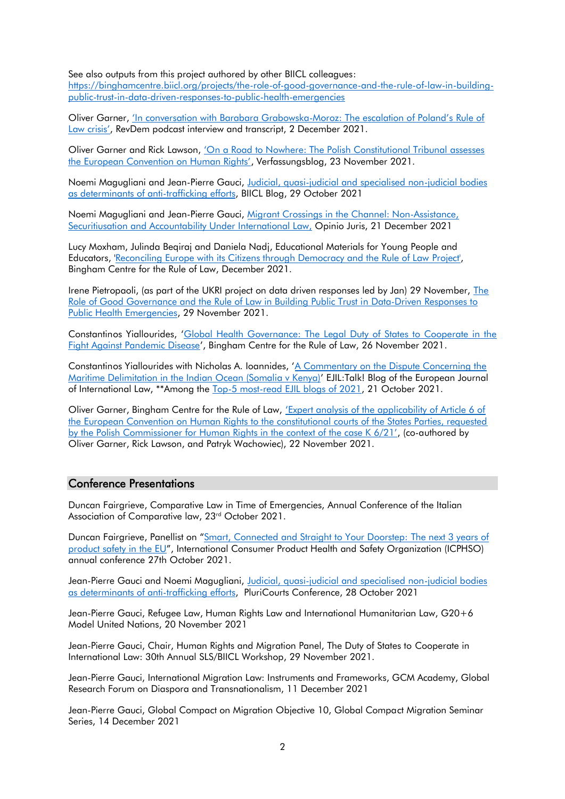See also outputs from this project authored by other BIICL colleagues:

[https://binghamcentre.biicl.org/projects/the-role-of-good-governance-and-the-rule-of-law-in-building](https://binghamcentre.biicl.org/projects/the-role-of-good-governance-and-the-rule-of-law-in-building-public-trust-in-data-driven-responses-to-public-health-emergencies)[public-trust-in-data-driven-responses-to-public-health-emergencies](https://binghamcentre.biicl.org/projects/the-role-of-good-governance-and-the-rule-of-law-in-building-public-trust-in-data-driven-responses-to-public-health-emergencies) 

Oliver Garner, ['In conversation with Barabara Grabowska](https://revdem.ceu.edu/2021/12/02/in-conversation-with-barbara-grabowska-moroz-the-escalation-of-polands-rule-of-law-crisis/)-Moroz: The escalation of Poland's Rule of [Law crisis'](https://revdem.ceu.edu/2021/12/02/in-conversation-with-barbara-grabowska-moroz-the-escalation-of-polands-rule-of-law-crisis/), RevDem podcast interview and transcript, 2 December 2021.

Oliver Garner and Rick Lawson, 'On a Road to Nowhere: The Polish Constitutional Tribunal assesses [the European Convention on Human Rights'](https://revdem.ceu.edu/2021/11/10/the-instability-of-the-northern-ireland-protocol-a-present-threat-to-the-rule-of-law/), Verfassungsblog, 23 November 2021.

Noemi Magugliani and Jean-Pierre Gauci, [Judicial, quasi-judicial and specialised non-judicial bodies](https://www.biicl.org/blog/28/judicial-quasi-judicial-and-specialised-non-judicial-bodies-as-determinants-of-anti-trafficking-efforts)  [as determinants of anti-trafficking efforts,](https://www.biicl.org/blog/28/judicial-quasi-judicial-and-specialised-non-judicial-bodies-as-determinants-of-anti-trafficking-efforts) BIICL Blog, 29 October 2021

Noemi Magugliani and Jean-Pierre Gauci, [Migrant Crossings in the Channel: Non-Assistance,](http://opiniojuris.org/2021/12/21/migrant-crossings-in-the-channel-non-assistance-securitisation-and-accountability-under-international-law/)  [Securitiusation and Accountability Under International Law,](http://opiniojuris.org/2021/12/21/migrant-crossings-in-the-channel-non-assistance-securitisation-and-accountability-under-international-law/) Opinio Juris, 21 December 2021

Lucy Moxham, Julinda Beqiraj and Daniela Nadj, Educational Materials for Young People and Educators, ['Reconciling Europe with its Citizens through Democracy and the Rule of Law](https://binghamcentre.biicl.org/projects/reconciling-europe-with-its-citizens-through-democracy-and-the-rule-of-law) Project', Bingham Centre for the Rule of Law, December 2021.

Irene Pietropaoli, (as part of the UKRI project on data driven responses led by Jan) 29 November, [The](https://binghamcentre.biicl.org/projects/the-role-of-good-governance-and-the-rule-of-law-in-building-public-trust-in-data-driven-responses-to-public-health-emergencies)  [Role of Good Governance and the Rule of Law in Building Public Trust in Data-Driven Responses to](https://binghamcentre.biicl.org/projects/the-role-of-good-governance-and-the-rule-of-law-in-building-public-trust-in-data-driven-responses-to-public-health-emergencies)  [Public Health Emergencies,](https://binghamcentre.biicl.org/projects/the-role-of-good-governance-and-the-rule-of-law-in-building-public-trust-in-data-driven-responses-to-public-health-emergencies) 29 November 2021.

Constantinos Yiallourides, '[Global Health Governance: The Legal Duty of States to Cooperate in the](https://binghamcentre.biicl.org/publications/global-health-governance-the-legal-duty-of-states-to-cooperate-in-the-fight-against-pandemic-disease?cookiesset=1&ts=1642774780)  [Fight Against Pandemic Disease](https://binghamcentre.biicl.org/publications/global-health-governance-the-legal-duty-of-states-to-cooperate-in-the-fight-against-pandemic-disease?cookiesset=1&ts=1642774780)', Bingham Centre for the Rule of Law, 26 November 2021.

Constantinos Yiallourides with Nicholas A. Ioannides, '[A Commentary on the Dispute Concerning the](https://www.ejiltalk.org/a-commentary-on-the-dispute-concerning-the-maritime-delimitation-in-the-indian-ocean-somalia-v-kenya/)  [Maritime Delimitation in the Indian Ocean \(Somalia v Kenya\)](https://www.ejiltalk.org/a-commentary-on-the-dispute-concerning-the-maritime-delimitation-in-the-indian-ocean-somalia-v-kenya/)' EJIL:Talk! Blog of the European Journal of International Law, \*\*Among the [Top-5 most-read EJIL blogs of 2021,](https://www.ejiltalk.org/our-most-read-posts-2021/) 21 October 2021.

Oliver Garner, Bingham Centre for the Rule of Law, ['Expert analysis of the applicability of Article 6 of](https://binghamcentre.biicl.org/publications/expert-analysis-of-the-applicability-of-article-6-of-the-european-convention-on-human-rights-to-the-constitutional-courts-of-the-states-parties-requested-by-the-polish-commissioner-for-human-rights-in-the-context-of-the-case-k-621?cookiesset=1&ts=1642515343)  [the European Convention on Human Rights to the constitutional courts of the States Parties, requested](https://binghamcentre.biicl.org/publications/expert-analysis-of-the-applicability-of-article-6-of-the-european-convention-on-human-rights-to-the-constitutional-courts-of-the-states-parties-requested-by-the-polish-commissioner-for-human-rights-in-the-context-of-the-case-k-621?cookiesset=1&ts=1642515343)  [by the Polish Commissioner for Human Ri](https://binghamcentre.biicl.org/publications/expert-analysis-of-the-applicability-of-article-6-of-the-european-convention-on-human-rights-to-the-constitutional-courts-of-the-states-parties-requested-by-the-polish-commissioner-for-human-rights-in-the-context-of-the-case-k-621?cookiesset=1&ts=1642515343)ghts in the context of the case K 6/21', (co-authored by Oliver Garner, Rick Lawson, and Patryk Wachowiec), 22 November 2021.

#### Conference Presentations

Duncan Fairgrieve, Comparative Law in Time of Emergencies, Annual Conference of the Italian Association of Comparative law, 23<sup>rd</sup> October 2021.

Duncan Fairgrieve, Panellist on "[Smart, Connected and Straight to Your Doorstep:](https://icphso.org/page/2021INTLAgenda) The next 3 years of [product safety in the EU](https://icphso.org/page/2021INTLAgenda)", International Consumer Product Health and Safety Organization (ICPHSO) annual conference 27th October 2021.

Jean-Pierre Gauci and Noemi Magugliani, Judicial, quasi-judicial and specialised non-judicial bodies [as determinants of anti-trafficking efforts,](https://www.biicl.org/blog/28/judicial-quasi-judicial-and-specialised-non-judicial-bodies-as-determinants-of-anti-trafficking-efforts) PluriCourts Conference, 28 October 2021

Jean-Pierre Gauci, Refugee Law, Human Rights Law and International Humanitarian Law, G20+6 Model United Nations, 20 November 2021

Jean-Pierre Gauci, Chair, Human Rights and Migration Panel, The Duty of States to Cooperate in International Law: 30th Annual SLS/BIICL Workshop, 29 November 2021.

Jean-Pierre Gauci, International Migration Law: Instruments and Frameworks, GCM Academy, Global Research Forum on Diaspora and Transnationalism, 11 December 2021

Jean-Pierre Gauci, Global Compact on Migration Objective 10, Global Compact Migration Seminar Series, 14 December 2021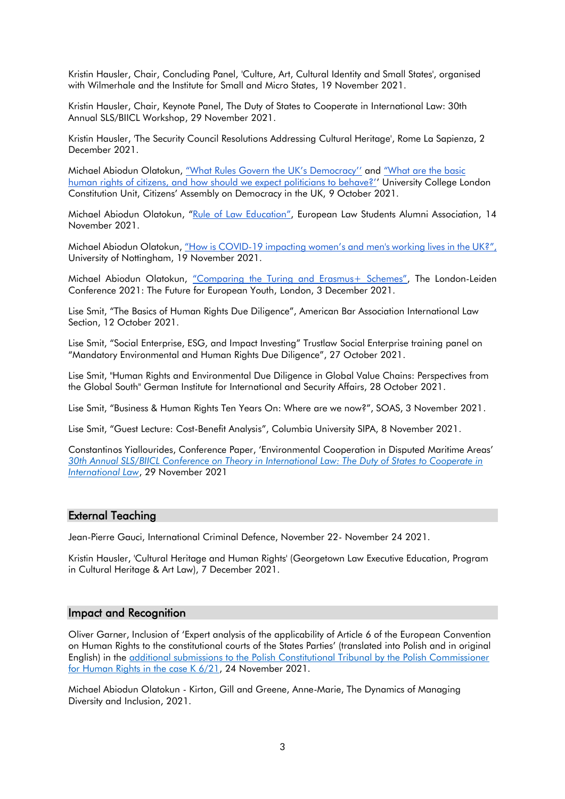Kristin Hausler, Chair, Concluding Panel, 'Culture, Art, Cultural Identity and Small States', organised with Wilmerhale and the Institute for Small and Micro States, 19 November 2021.

Kristin Hausler, Chair, Keynote Panel, The Duty of States to Cooperate in International Law: 30th Annual SLS/BIICL Workshop, 29 November 2021.

Kristin Hausler, 'The Security Council Resolutions Addressing Cultural Heritage', Rome La Sapienza, 2 December 2021.

Michael Abiodun Olatokun, "[What](https://www.youtube.com/watch?v=eJjjMriPv4g) [Rules Govern the UK's Democracy''](https://www.youtube.com/watch?v=eJjjMriPv4g) and "[What](https://youtu.be/TXNjXSYB3io) [are the basic](https://youtu.be/TXNjXSYB3io)  [human rights of citizens, and how should we expec](https://youtu.be/TXNjXSYB3io)t politicians to behave?'' University College London Constitution Unit, Citizens' Assembly on Democracy in the UK, 9 October 2021.

Michael Abiodun Olatokun, "[Rule](https://youtu.be/KvWvnqMYuOM?t=5719) [of Law Education](https://youtu.be/KvWvnqMYuOM?t=5719)", European Law Students Alumni Association, 14 November 2021.

Michael Abiodun Olatokun, "[How](https://www.eventbrite.co.uk/e/equality-diversity-and-inclusion-at-work-webinar-3-tickets-167482295053) is COVID-[19 impacting women's and men's working lives in the UK?"](https://www.eventbrite.co.uk/e/equality-diversity-and-inclusion-at-work-webinar-3-tickets-167482295053), University of Nottingham, 19 November 2021.

Michael Abiodun Olatokun, ["Comparing the Turing and Erasmus+ Schemes"](https://youtu.be/Eb5_G5Ums30?t=1221), The London-Leiden Conference 2021: The Future for European Youth, London, 3 December 2021.

Lise Smit, "The Basics of Human Rights Due Diligence", American Bar Association International Law Section, 12 October 2021.

Lise Smit, "Social Enterprise, ESG, and Impact Investing" Trustlaw Social Enterprise training panel on "Mandatory Environmental and Human Rights Due Diligence", 27 October 2021.

Lise Smit, "Human Rights and Environmental Due Diligence in Global Value Chains: Perspectives from the Global South" German Institute for International and Security Affairs, 28 October 2021.

Lise Smit, "Business & Human Rights Ten Years On: Where are we now?", SOAS, 3 November 2021.

Lise Smit, "Guest Lecture: Cost-Benefit Analysis", Columbia University SIPA, 8 November 2021.

Constantinos Yiallourides, Conference Paper, 'Environmental Cooperation in Disputed Maritime Areas' *[30th Annual SLS/BIICL Conference on Theory in International Law: The Duty of States to Cooperate in](https://www.biicl.org/events/11559/the-duty-of-states-to-cooperate-in-international-law-30th-annual-slsbiicl-workshop)  [International Law](https://www.biicl.org/events/11559/the-duty-of-states-to-cooperate-in-international-law-30th-annual-slsbiicl-workshop)*, 29 November 2021

### External Teaching

Jean-Pierre Gauci, International Criminal Defence, November 22- November 24 2021.

Kristin Hausler, 'Cultural Heritage and Human Rights' (Georgetown Law Executive Education, Program in Cultural Heritage & Art Law), 7 December 2021.

#### Impact and Recognition

Oliver Garner, Inclusion of 'Expert analysis of the applicability of Article 6 of the European Convention on Human Rights to the constitutional courts of the States Parties' (translated into Polish and in original English) in the [additional submissions to the Polish Constitutional Tribunal by the Polish Commissioner](https://ipo.trybunal.gov.pl/ipo/dok?dok=6d589543-bf39-464f-91b8-7ee898879768%2FK_6_21_rpo_2021_11_15_ADO.pdf)  [for Human Rights in the case K 6/21,](https://ipo.trybunal.gov.pl/ipo/dok?dok=6d589543-bf39-464f-91b8-7ee898879768%2FK_6_21_rpo_2021_11_15_ADO.pdf) 24 November 2021.

Michael Abiodun Olatokun - Kirton, Gill and Greene, Anne-Marie, The Dynamics of Managing Diversity and Inclusion, 2021.